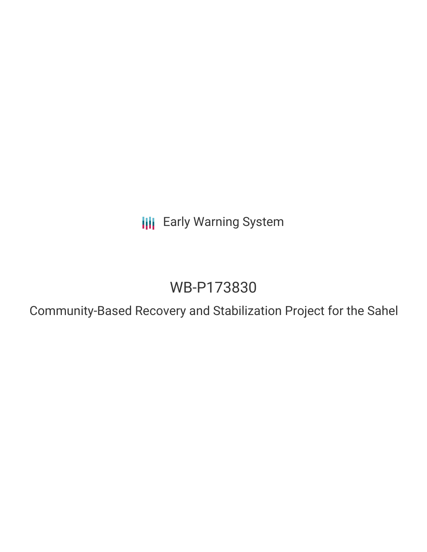**III** Early Warning System

## WB-P173830

Community-Based Recovery and Stabilization Project for the Sahel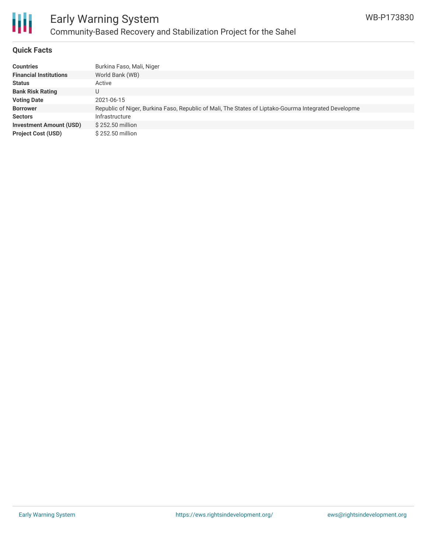

## Early Warning System Community-Based Recovery and Stabilization Project for the Sahel

#### **Quick Facts**

| <b>Countries</b>               | Burkina Faso, Mali, Niger                                                                            |
|--------------------------------|------------------------------------------------------------------------------------------------------|
| <b>Financial Institutions</b>  | World Bank (WB)                                                                                      |
| <b>Status</b>                  | Active                                                                                               |
| <b>Bank Risk Rating</b>        |                                                                                                      |
| <b>Voting Date</b>             | 2021-06-15                                                                                           |
| <b>Borrower</b>                | Republic of Niger, Burkina Faso, Republic of Mali, The States of Liptako-Gourma Integrated Developme |
| <b>Sectors</b>                 | Infrastructure                                                                                       |
| <b>Investment Amount (USD)</b> | \$252.50 million                                                                                     |
| <b>Project Cost (USD)</b>      | \$252.50 million                                                                                     |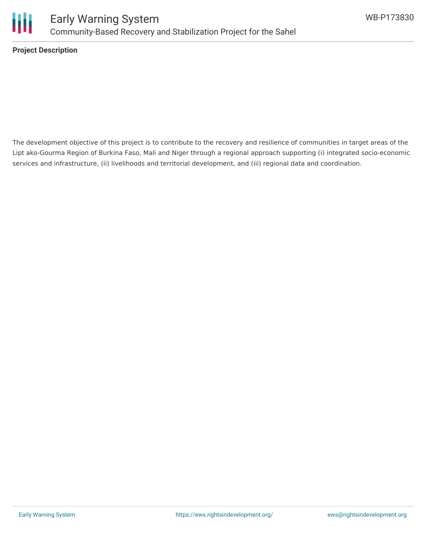

**Project Description**

The development objective of this project is to contribute to the recovery and resilience of communities in target areas of the Lipt ako-Gourma Region of Burkina Faso, Mali and Niger through a regional approach supporting (i) integrated socio-economic services and infrastructure, (ii) livelihoods and territorial development, and (iii) regional data and coordination.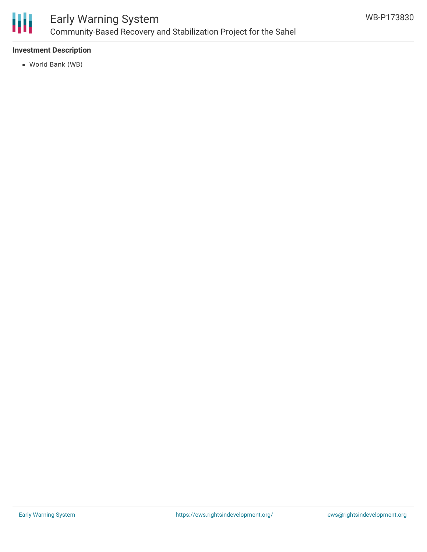

## Early Warning System Community-Based Recovery and Stabilization Project for the Sahel

#### **Investment Description**

World Bank (WB)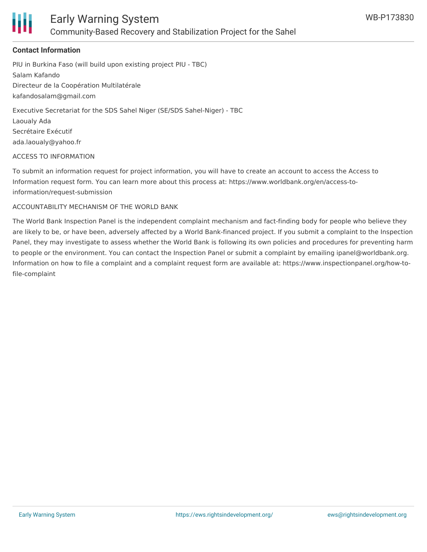

#### **Contact Information**

PIU in Burkina Faso (will build upon existing project PIU - TBC) Salam Kafando Directeur de la Coopération Multilatérale kafandosalam@gmail.com Executive Secretariat for the SDS Sahel Niger (SE/SDS Sahel-Niger) - TBC

Laoualy Ada Secrétaire Exécutif

ada.laoualy@yahoo.fr

#### ACCESS TO INFORMATION

To submit an information request for project information, you will have to create an account to access the Access to Information request form. You can learn more about this process at: https://www.worldbank.org/en/access-toinformation/request-submission

#### ACCOUNTABILITY MECHANISM OF THE WORLD BANK

The World Bank Inspection Panel is the independent complaint mechanism and fact-finding body for people who believe they are likely to be, or have been, adversely affected by a World Bank-financed project. If you submit a complaint to the Inspection Panel, they may investigate to assess whether the World Bank is following its own policies and procedures for preventing harm to people or the environment. You can contact the Inspection Panel or submit a complaint by emailing ipanel@worldbank.org. Information on how to file a complaint and a complaint request form are available at: https://www.inspectionpanel.org/how-tofile-complaint